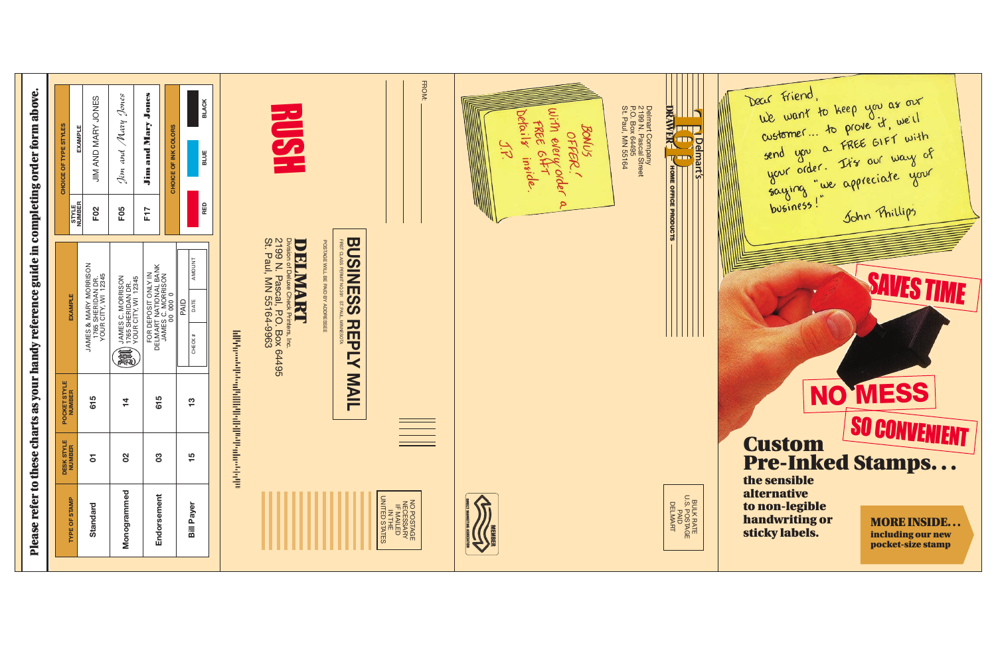# **Custom** Pre-Inked Stamps. . . SO CONVENIENT

SAVES TIME

the sensible alternative to non-legible handwriting or sticky labels.

| refer to<br>Please <sub>1</sub>                                 | $\ddot{\mathbf{c}}$<br>these | arts                                                                                                                  | $\blacksquare$<br>guide <sup>1</sup><br>as your handy reference                                                                                  | completing                  | above.<br>order form                                                             |  |
|-----------------------------------------------------------------|------------------------------|-----------------------------------------------------------------------------------------------------------------------|--------------------------------------------------------------------------------------------------------------------------------------------------|-----------------------------|----------------------------------------------------------------------------------|--|
|                                                                 |                              |                                                                                                                       |                                                                                                                                                  |                             | CHOICE OF TYPE STYLES                                                            |  |
| <b>TYPE OF STAMP</b>                                            | <b>DESK STYLE</b><br>NUMBER  | POCKET STYLE<br>NUMBER                                                                                                | <b>EXAMPLE</b>                                                                                                                                   | STYLE<br>NUMBER             | <b>EXAMPLE</b>                                                                   |  |
| Standard                                                        | 5                            | 615                                                                                                                   | JAMES & MARY MORRISON<br>1765 SHERIDAN DR.<br>YOUR CITY, WI 12345                                                                                | F <sub>02</sub>             | <b>JONES</b><br>JIM AND MARY                                                     |  |
| Monogrammed                                                     | 8                            | $\frac{1}{4}$                                                                                                         | JAMES C. MORRISON<br>  1765 SHERIDAN DR.<br>  YOUR CITY, WI 12345<br>氟                                                                           | F <sub>05</sub>             | Jones<br>Mary<br>and<br>Jim                                                      |  |
| Endorsement                                                     | $\boldsymbol{3}$             | 615                                                                                                                   | FOR DEPOSIT ONLY IN<br>DELMART NATIONAL BANK<br>JAMES C. MORRISON<br>JAMES C. MORRISON                                                           | F <sub>17</sub>             | Jones<br>and Mary<br>Jim                                                         |  |
| <b>Bill Payer</b>                                               | 5<br>$\blacksquare$          | 13                                                                                                                    | AMOUNT<br>PAID<br>DATE<br>CHECK#                                                                                                                 | RED                         | <b>BLACK</b><br>CHOICE OF INK COLORS<br>BLUE                                     |  |
|                                                                 |                              | <b>The Continuity of the Continuity of the Continuity of the Continuity of the Continuity of the Continuity of th</b> |                                                                                                                                                  |                             |                                                                                  |  |
|                                                                 |                              |                                                                                                                       | 2199 N. Pascal, P.O. Box 64495<br>St. Paul, MN 55164-9963<br>Division of Deluxe Check<br><b>DRIMARI</b><br>Paul, MN 55164-9963<br>Printers, Inc. |                             | $\frac{1}{2}$                                                                    |  |
|                                                                 |                              | <b>NAIL</b>                                                                                                           | <b>BUSINESS</b><br>FIRST CLASS PERMIT NO.391<br>POSTAGE WILL BE PAID BY ADDRESSEE<br><b>ST. PAUL</b><br><b>MINNESOTA</b><br><b>NHD</b><br>Ŕ      |                             |                                                                                  |  |
| NO POSTAGE<br>IF MALLED<br>IF MALLED<br>IN THE<br>UNITED STATES |                              |                                                                                                                       |                                                                                                                                                  |                             | FROM:                                                                            |  |
|                                                                 |                              |                                                                                                                       |                                                                                                                                                  |                             |                                                                                  |  |
|                                                                 |                              |                                                                                                                       |                                                                                                                                                  | ۹                           | With<br>Defailt<br>FREE<br>OFFER<br>every<br><b>QH</b><br>inside<br>order        |  |
|                                                                 |                              |                                                                                                                       |                                                                                                                                                  |                             | BONUS                                                                            |  |
|                                                                 |                              |                                                                                                                       |                                                                                                                                                  |                             | Delmatt Company<br>2199 N. Pascal Street<br>P.O. Box 64495<br>St. Paul, MN 55164 |  |
| BULK RATE<br>U.S. POSTAGE<br>PAID<br>DELMART                    |                              |                                                                                                                       |                                                                                                                                                  | <b>HOME OFFICE PRODUCTS</b> | DRAWER<br><b>Delmart's</b>                                                       |  |
|                                                                 |                              |                                                                                                                       |                                                                                                                                                  |                             |                                                                                  |  |

Dear Friend,<br>we want to keep you as our<br>customer... to prove it, we'll<br>send you a FREE GIFT with<br>your order. It's our way of<br>saying "we appreciate your<br>business!" Sohn Phillips John Phillips

MORE INSIDE. . . including our new pocket-size stamp